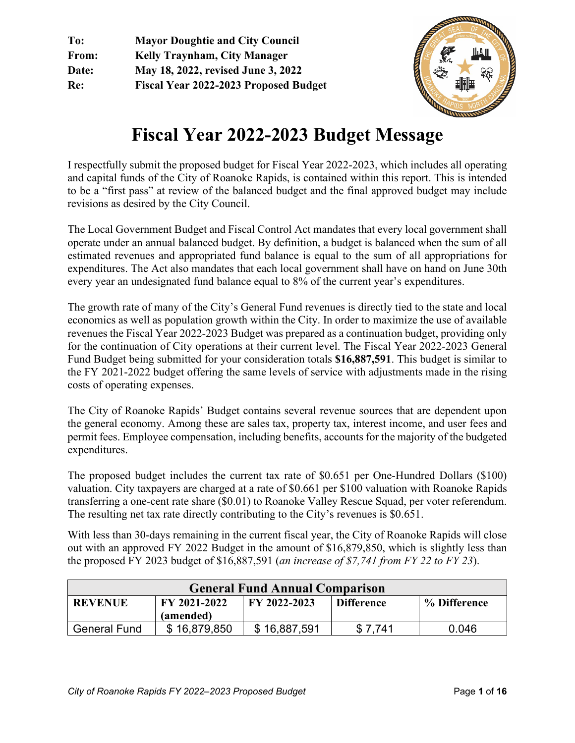**To: Mayor Doughtie and City Council From: Kelly Traynham, City Manager Date: May 18, 2022, revised June 3, 2022 Re: Fiscal Year 2022-2023 Proposed Budget** 



# **Fiscal Year 2022-2023 Budget Message**

I respectfully submit the proposed budget for Fiscal Year 2022-2023, which includes all operating and capital funds of the City of Roanoke Rapids, is contained within this report. This is intended to be a "first pass" at review of the balanced budget and the final approved budget may include revisions as desired by the City Council.

The Local Government Budget and Fiscal Control Act mandates that every local government shall operate under an annual balanced budget. By definition, a budget is balanced when the sum of all estimated revenues and appropriated fund balance is equal to the sum of all appropriations for expenditures. The Act also mandates that each local government shall have on hand on June 30th every year an undesignated fund balance equal to 8% of the current year's expenditures.

The growth rate of many of the City's General Fund revenues is directly tied to the state and local economics as well as population growth within the City. In order to maximize the use of available revenues the Fiscal Year 2022-2023 Budget was prepared as a continuation budget, providing only for the continuation of City operations at their current level. The Fiscal Year 2022-2023 General Fund Budget being submitted for your consideration totals **\$16,887,591**. This budget is similar to the FY 2021-2022 budget offering the same levels of service with adjustments made in the rising costs of operating expenses.

The City of Roanoke Rapids' Budget contains several revenue sources that are dependent upon the general economy. Among these are sales tax, property tax, interest income, and user fees and permit fees. Employee compensation, including benefits, accounts for the majority of the budgeted expenditures.

The proposed budget includes the current tax rate of \$0.651 per One-Hundred Dollars (\$100) valuation. City taxpayers are charged at a rate of \$0.661 per \$100 valuation with Roanoke Rapids transferring a one-cent rate share (\$0.01) to Roanoke Valley Rescue Squad, per voter referendum. The resulting net tax rate directly contributing to the City's revenues is \$0.651.

With less than 30-days remaining in the current fiscal year, the City of Roanoke Rapids will close out with an approved FY 2022 Budget in the amount of \$16,879,850, which is slightly less than the proposed FY 2023 budget of \$16,887,591 (*an increase of \$7,741 from FY 22 to FY 23*).

| <b>General Fund Annual Comparison</b> |                                                                                |              |         |       |  |  |  |  |
|---------------------------------------|--------------------------------------------------------------------------------|--------------|---------|-------|--|--|--|--|
| <b>REVENUE</b>                        | FY 2021-2022<br>FY 2022-2023<br>% Difference<br><b>Difference</b><br>(amended) |              |         |       |  |  |  |  |
| <b>General Fund</b>                   | \$16,879,850                                                                   | \$16,887,591 | \$7.741 | 0.046 |  |  |  |  |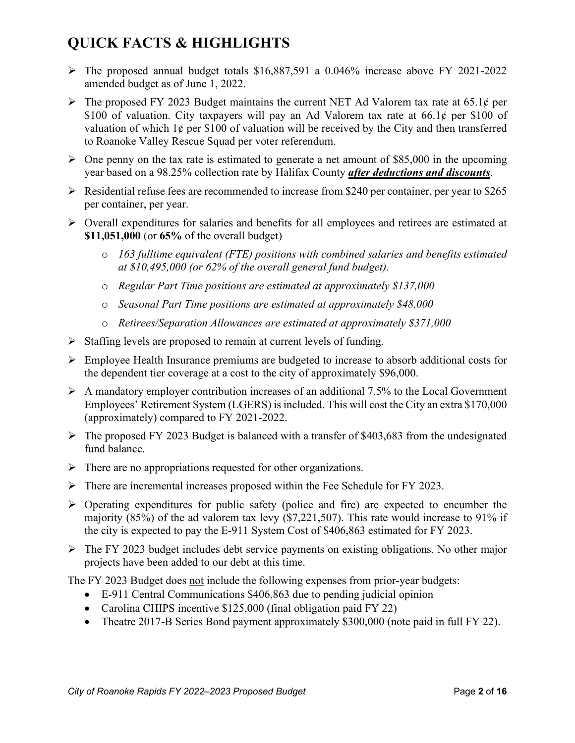# **QUICK FACTS & HIGHLIGHTS**

- $\triangleright$  The proposed annual budget totals \$16,887,591 a 0.046% increase above FY 2021-2022 amended budget as of June 1, 2022.
- The proposed FY 2023 Budget maintains the current NET Ad Valorem tax rate at 65.1 $\phi$  per \$100 of valuation. City taxpayers will pay an Ad Valorem tax rate at  $66.1\ell$  per \$100 of valuation of which  $1\phi$  per \$100 of valuation will be received by the City and then transferred to Roanoke Valley Rescue Squad per voter referendum.
- $\triangleright$  One penny on the tax rate is estimated to generate a net amount of \$85,000 in the upcoming year based on a 98.25% collection rate by Halifax County *after deductions and discounts*.
- $\triangleright$  Residential refuse fees are recommended to increase from \$240 per container, per year to \$265 per container, per year.
- $\triangleright$  Overall expenditures for salaries and benefits for all employees and retirees are estimated at **\$11,051,000** (or **65%** of the overall budget)
	- o *163 fulltime equivalent (FTE) positions with combined salaries and benefits estimated at \$10,495,000 (or 62% of the overall general fund budget).*
	- o *Regular Part Time positions are estimated at approximately \$137,000*
	- o *Seasonal Part Time positions are estimated at approximately \$48,000*
	- o *Retirees/Separation Allowances are estimated at approximately \$371,000*
- $\triangleright$  Staffing levels are proposed to remain at current levels of funding.
- Employee Health Insurance premiums are budgeted to increase to absorb additional costs for the dependent tier coverage at a cost to the city of approximately \$96,000.
- $\triangleright$  A mandatory employer contribution increases of an additional 7.5% to the Local Government Employees' Retirement System (LGERS) is included. This will cost the City an extra \$170,000 (approximately) compared to FY 2021-2022.
- $\triangleright$  The proposed FY 2023 Budget is balanced with a transfer of \$403,683 from the undesignated fund balance.
- $\triangleright$  There are no appropriations requested for other organizations.
- There are incremental increases proposed within the Fee Schedule for FY 2023.
- $\triangleright$  Operating expenditures for public safety (police and fire) are expected to encumber the majority (85%) of the ad valorem tax levy (\$7,221,507). This rate would increase to 91% if the city is expected to pay the E-911 System Cost of \$406,863 estimated for FY 2023.
- $\triangleright$  The FY 2023 budget includes debt service payments on existing obligations. No other major projects have been added to our debt at this time.

The FY 2023 Budget does not include the following expenses from prior-year budgets:

- E-911 Central Communications \$406,863 due to pending judicial opinion
- Carolina CHIPS incentive \$125,000 (final obligation paid FY 22)
- Theatre 2017-B Series Bond payment approximately \$300,000 (note paid in full FY 22).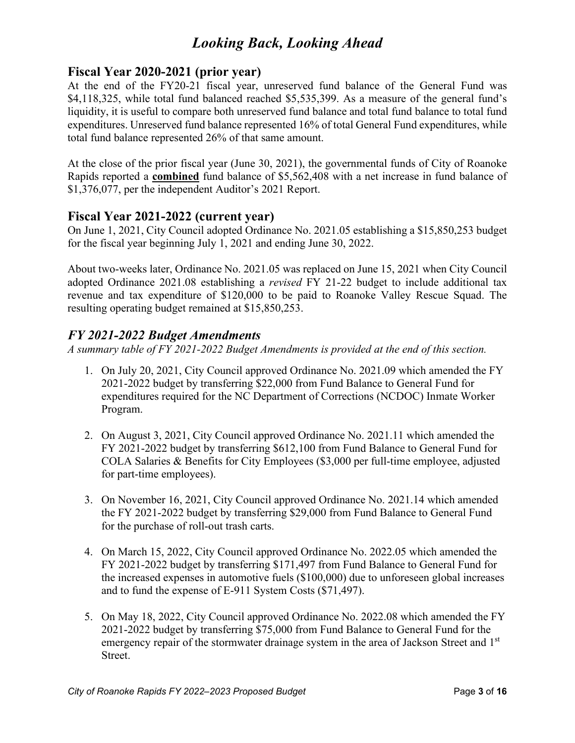# *Looking Back, Looking Ahead*

### **Fiscal Year 2020-2021 (prior year)**

At the end of the FY20-21 fiscal year, unreserved fund balance of the General Fund was \$4,118,325, while total fund balanced reached \$5,535,399. As a measure of the general fund's liquidity, it is useful to compare both unreserved fund balance and total fund balance to total fund expenditures. Unreserved fund balance represented 16% of total General Fund expenditures, while total fund balance represented 26% of that same amount.

At the close of the prior fiscal year (June 30, 2021), the governmental funds of City of Roanoke Rapids reported a **combined** fund balance of \$5,562,408 with a net increase in fund balance of \$1,376,077, per the independent Auditor's 2021 Report.

### **Fiscal Year 2021-2022 (current year)**

On June 1, 2021, City Council adopted Ordinance No. 2021.05 establishing a \$15,850,253 budget for the fiscal year beginning July 1, 2021 and ending June 30, 2022.

About two-weeks later, Ordinance No. 2021.05 was replaced on June 15, 2021 when City Council adopted Ordinance 2021.08 establishing a *revised* FY 21-22 budget to include additional tax revenue and tax expenditure of \$120,000 to be paid to Roanoke Valley Rescue Squad. The resulting operating budget remained at \$15,850,253.

### *FY 2021-2022 Budget Amendments*

*A summary table of FY 2021-2022 Budget Amendments is provided at the end of this section.*

- 1. On July 20, 2021, City Council approved Ordinance No. 2021.09 which amended the FY 2021-2022 budget by transferring \$22,000 from Fund Balance to General Fund for expenditures required for the NC Department of Corrections (NCDOC) Inmate Worker Program.
- 2. On August 3, 2021, City Council approved Ordinance No. 2021.11 which amended the FY 2021-2022 budget by transferring \$612,100 from Fund Balance to General Fund for COLA Salaries & Benefits for City Employees (\$3,000 per full-time employee, adjusted for part-time employees).
- 3. On November 16, 2021, City Council approved Ordinance No. 2021.14 which amended the FY 2021-2022 budget by transferring \$29,000 from Fund Balance to General Fund for the purchase of roll-out trash carts.
- 4. On March 15, 2022, City Council approved Ordinance No. 2022.05 which amended the FY 2021-2022 budget by transferring \$171,497 from Fund Balance to General Fund for the increased expenses in automotive fuels (\$100,000) due to unforeseen global increases and to fund the expense of E-911 System Costs (\$71,497).
- 5. On May 18, 2022, City Council approved Ordinance No. 2022.08 which amended the FY 2021-2022 budget by transferring \$75,000 from Fund Balance to General Fund for the emergency repair of the stormwater drainage system in the area of Jackson Street and 1<sup>st</sup> Street.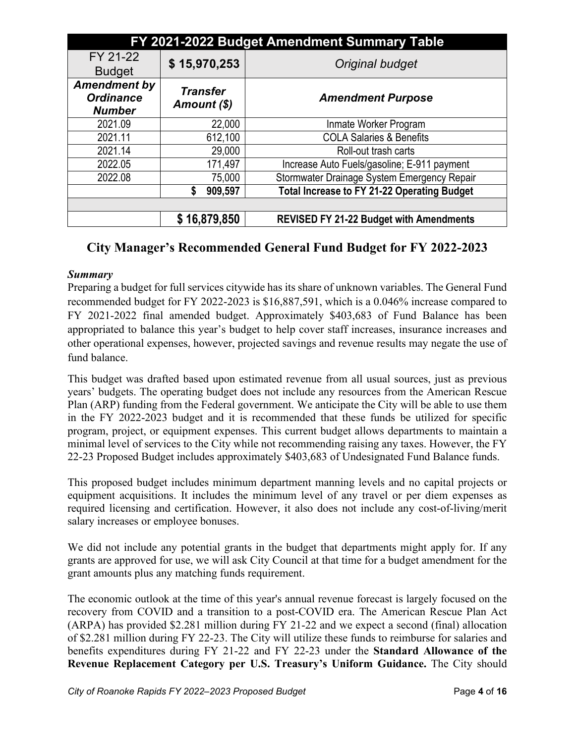| FY 2021-2022 Budget Amendment Summary Table              |                                |                                                |  |  |  |  |  |
|----------------------------------------------------------|--------------------------------|------------------------------------------------|--|--|--|--|--|
| FY 21-22<br><b>Budget</b>                                | \$15,970,253                   | Original budget                                |  |  |  |  |  |
| <b>Amendment by</b><br><b>Ordinance</b><br><b>Number</b> | <b>Transfer</b><br>Amount (\$) | <b>Amendment Purpose</b>                       |  |  |  |  |  |
| 2021.09                                                  | 22,000                         | Inmate Worker Program                          |  |  |  |  |  |
| 2021.11                                                  | 612,100                        | <b>COLA Salaries &amp; Benefits</b>            |  |  |  |  |  |
| 2021.14                                                  | 29,000                         | Roll-out trash carts                           |  |  |  |  |  |
| 2022.05                                                  | 171,497                        | Increase Auto Fuels/gasoline; E-911 payment    |  |  |  |  |  |
| 2022.08                                                  | 75,000                         | Stormwater Drainage System Emergency Repair    |  |  |  |  |  |
|                                                          | 909,597                        | Total Increase to FY 21-22 Operating Budget    |  |  |  |  |  |
|                                                          |                                |                                                |  |  |  |  |  |
|                                                          | \$16,879,850                   | <b>REVISED FY 21-22 Budget with Amendments</b> |  |  |  |  |  |

## **City Manager's Recommended General Fund Budget for FY 2022-2023**

#### *Summary*

Preparing a budget for full services citywide has its share of unknown variables. The General Fund recommended budget for FY 2022-2023 is \$16,887,591, which is a 0.046% increase compared to FY 2021-2022 final amended budget. Approximately \$403,683 of Fund Balance has been appropriated to balance this year's budget to help cover staff increases, insurance increases and other operational expenses, however, projected savings and revenue results may negate the use of fund balance.

This budget was drafted based upon estimated revenue from all usual sources, just as previous years' budgets. The operating budget does not include any resources from the American Rescue Plan (ARP) funding from the Federal government. We anticipate the City will be able to use them in the FY 2022-2023 budget and it is recommended that these funds be utilized for specific program, project, or equipment expenses. This current budget allows departments to maintain a minimal level of services to the City while not recommending raising any taxes. However, the FY 22-23 Proposed Budget includes approximately \$403,683 of Undesignated Fund Balance funds.

This proposed budget includes minimum department manning levels and no capital projects or equipment acquisitions. It includes the minimum level of any travel or per diem expenses as required licensing and certification. However, it also does not include any cost-of-living/merit salary increases or employee bonuses.

We did not include any potential grants in the budget that departments might apply for. If any grants are approved for use, we will ask City Council at that time for a budget amendment for the grant amounts plus any matching funds requirement.

The economic outlook at the time of this year's annual revenue forecast is largely focused on the recovery from COVID and a transition to a post-COVID era. The American Rescue Plan Act (ARPA) has provided \$2.281 million during FY 21-22 and we expect a second (final) allocation of \$2.281 million during FY 22-23. The City will utilize these funds to reimburse for salaries and benefits expenditures during FY 21-22 and FY 22-23 under the **Standard Allowance of the Revenue Replacement Category per U.S. Treasury's Uniform Guidance.** The City should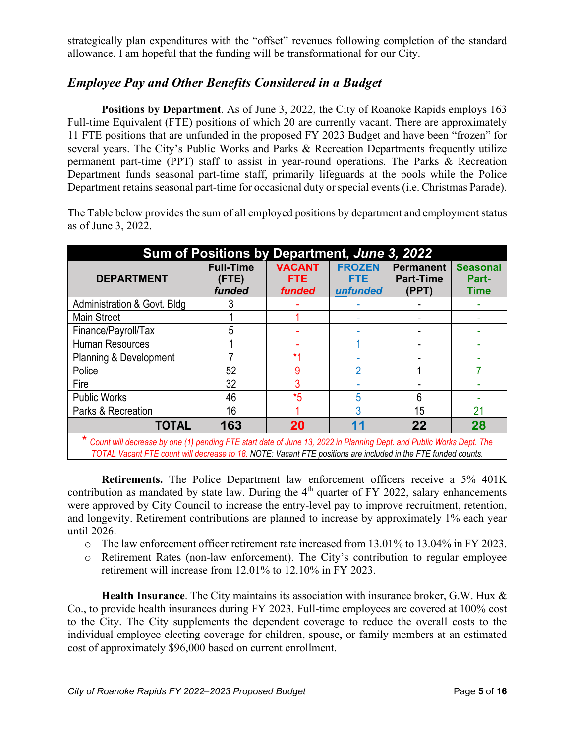strategically plan expenditures with the "offset" revenues following completion of the standard allowance. I am hopeful that the funding will be transformational for our City.

## *Employee Pay and Other Benefits Considered in a Budget*

**Positions by Department**. As of June 3, 2022, the City of Roanoke Rapids employs 163 Full-time Equivalent (FTE) positions of which 20 are currently vacant. There are approximately 11 FTE positions that are unfunded in the proposed FY 2023 Budget and have been "frozen" for several years. The City's Public Works and Parks & Recreation Departments frequently utilize permanent part-time (PPT) staff to assist in year-round operations. The Parks & Recreation Department funds seasonal part-time staff, primarily lifeguards at the pools while the Police Department retains seasonal part-time for occasional duty or special events (i.e. Christmas Parade).

The Table below provides the sum of all employed positions by department and employment status as of June 3, 2022.

| Sum of Positions by Department, June 3, 2022                                                                          |                                     |                                       |                                         |                                               |                                         |  |  |  |
|-----------------------------------------------------------------------------------------------------------------------|-------------------------------------|---------------------------------------|-----------------------------------------|-----------------------------------------------|-----------------------------------------|--|--|--|
| <b>DEPARTMENT</b>                                                                                                     | <b>Full-Time</b><br>(FTE)<br>funded | <b>VACANT</b><br><b>FTE</b><br>funded | <b>FROZEN</b><br><b>FTE</b><br>unfunded | <b>Permanent</b><br><b>Part-Time</b><br>(PPT) | <b>Seasonal</b><br>Part-<br><b>Time</b> |  |  |  |
| Administration & Govt. Bldg.                                                                                          |                                     |                                       |                                         |                                               |                                         |  |  |  |
| <b>Main Street</b>                                                                                                    |                                     |                                       |                                         |                                               |                                         |  |  |  |
| Finance/Payroll/Tax                                                                                                   | 5                                   |                                       |                                         |                                               |                                         |  |  |  |
| Human Resources                                                                                                       |                                     |                                       |                                         |                                               |                                         |  |  |  |
| Planning & Development                                                                                                |                                     | $*1$                                  |                                         |                                               |                                         |  |  |  |
| Police                                                                                                                | 52                                  | 9                                     | 2                                       |                                               |                                         |  |  |  |
| Fire                                                                                                                  | 32                                  |                                       |                                         |                                               |                                         |  |  |  |
| <b>Public Works</b>                                                                                                   | 46                                  | *5                                    | 5                                       | 6                                             |                                         |  |  |  |
| Parks & Recreation                                                                                                    | 16                                  |                                       | 3                                       | 15                                            | 21                                      |  |  |  |
| <b>TOTAL</b>                                                                                                          | 163                                 | 20                                    |                                         | 22                                            | 28                                      |  |  |  |
| * Count will decrease by one (1) pending FTE start date of June 13, 2022 in Planning Dept. and Public Works Dept. The |                                     |                                       |                                         |                                               |                                         |  |  |  |

*TOTAL Vacant FTE count will decrease to 18. NOTE: Vacant FTE positions are included in the FTE funded counts.*

**Retirements.** The Police Department law enforcement officers receive a 5% 401K contribution as mandated by state law. During the  $4<sup>th</sup>$  quarter of FY 2022, salary enhancements were approved by City Council to increase the entry-level pay to improve recruitment, retention, and longevity. Retirement contributions are planned to increase by approximately 1% each year until 2026.

- o The law enforcement officer retirement rate increased from 13.01% to 13.04% in FY 2023.
- o Retirement Rates (non-law enforcement). The City's contribution to regular employee retirement will increase from 12.01% to 12.10% in FY 2023.

**Health Insurance**. The City maintains its association with insurance broker, G.W. Hux & Co., to provide health insurances during FY 2023. Full-time employees are covered at 100% cost to the City. The City supplements the dependent coverage to reduce the overall costs to the individual employee electing coverage for children, spouse, or family members at an estimated cost of approximately \$96,000 based on current enrollment.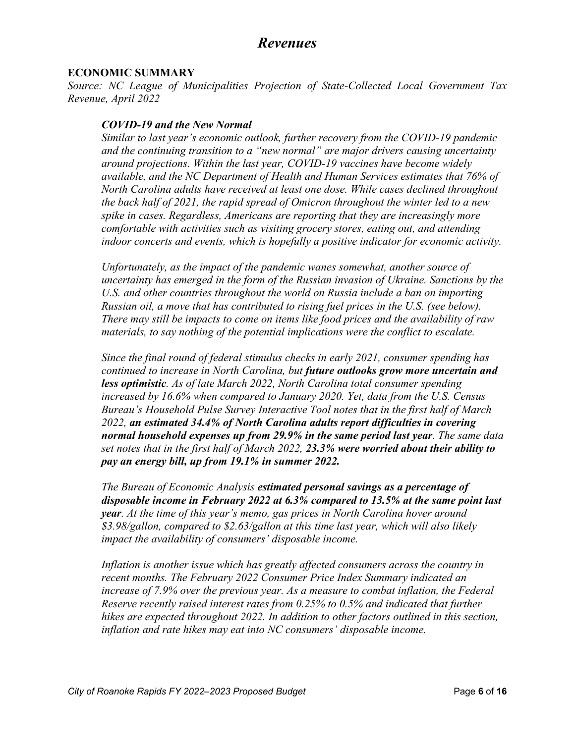# *Revenues*

#### **ECONOMIC SUMMARY**

*Source: NC League of Municipalities Projection of State-Collected Local Government Tax Revenue, April 2022*

#### *COVID-19 and the New Normal*

*Similar to last year's economic outlook, further recovery from the COVID-19 pandemic and the continuing transition to a "new normal" are major drivers causing uncertainty around projections. Within the last year, COVID-19 vaccines have become widely available, and the NC Department of Health and Human Services estimates that 76% of North Carolina adults have received at least one dose. While cases declined throughout the back half of 2021, the rapid spread of Omicron throughout the winter led to a new spike in cases. Regardless, Americans are reporting that they are increasingly more comfortable with activities such as visiting grocery stores, eating out, and attending indoor concerts and events, which is hopefully a positive indicator for economic activity.*

*Unfortunately, as the impact of the pandemic wanes somewhat, another source of uncertainty has emerged in the form of the Russian invasion of Ukraine. Sanctions by the U.S. and other countries throughout the world on Russia include a ban on importing Russian oil, a move that has contributed to rising fuel prices in the U.S. (see below). There may still be impacts to come on items like food prices and the availability of raw materials, to say nothing of the potential implications were the conflict to escalate.*

*Since the final round of federal stimulus checks in early 2021, consumer spending has continued to increase in North Carolina, but future outlooks grow more uncertain and less optimistic. As of late March 2022, North Carolina total consumer spending increased by 16.6% when compared to January 2020. Yet, data from the U.S. Census Bureau's Household Pulse Survey Interactive Tool notes that in the first half of March 2022, an estimated 34.4% of North Carolina adults report difficulties in covering normal household expenses up from 29.9% in the same period last year. The same data set notes that in the first half of March 2022, 23.3% were worried about their ability to pay an energy bill, up from 19.1% in summer 2022.* 

*The Bureau of Economic Analysis estimated personal savings as a percentage of disposable income in February 2022 at 6.3% compared to 13.5% at the same point last year. At the time of this year's memo, gas prices in North Carolina hover around \$3.98/gallon, compared to \$2.63/gallon at this time last year, which will also likely impact the availability of consumers' disposable income.* 

*Inflation is another issue which has greatly affected consumers across the country in recent months. The February 2022 Consumer Price Index Summary indicated an increase of 7.9% over the previous year. As a measure to combat inflation, the Federal Reserve recently raised interest rates from 0.25% to 0.5% and indicated that further hikes are expected throughout 2022. In addition to other factors outlined in this section, inflation and rate hikes may eat into NC consumers' disposable income.*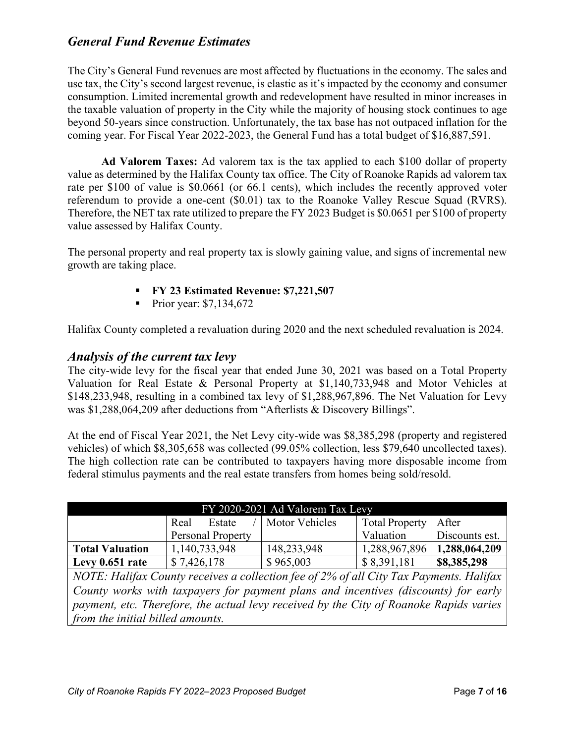### *General Fund Revenue Estimates*

The City's General Fund revenues are most affected by fluctuations in the economy. The sales and use tax, the City's second largest revenue, is elastic as it's impacted by the economy and consumer consumption. Limited incremental growth and redevelopment have resulted in minor increases in the taxable valuation of property in the City while the majority of housing stock continues to age beyond 50-years since construction. Unfortunately, the tax base has not outpaced inflation for the coming year. For Fiscal Year 2022-2023, the General Fund has a total budget of \$16,887,591.

**Ad Valorem Taxes:** Ad valorem tax is the tax applied to each \$100 dollar of property value as determined by the Halifax County tax office. The City of Roanoke Rapids ad valorem tax rate per \$100 of value is \$0.0661 (or 66.1 cents), which includes the recently approved voter referendum to provide a one-cent (\$0.01) tax to the Roanoke Valley Rescue Squad (RVRS). Therefore, the NET tax rate utilized to prepare the FY 2023 Budget is \$0.0651 per \$100 of property value assessed by Halifax County.

The personal property and real property tax is slowly gaining value, and signs of incremental new growth are taking place.

- **FY 23 Estimated Revenue: \$7,221,507**
- Prior year:  $$7,134,672$

Halifax County completed a revaluation during 2020 and the next scheduled revaluation is 2024.

### *Analysis of the current tax levy*

The city-wide levy for the fiscal year that ended June 30, 2021 was based on a Total Property Valuation for Real Estate & Personal Property at \$1,140,733,948 and Motor Vehicles at \$148,233,948, resulting in a combined tax levy of \$1,288,967,896. The Net Valuation for Levy was \$1,288,064,209 after deductions from "Afterlists & Discovery Billings".

At the end of Fiscal Year 2021, the Net Levy city-wide was \$8,385,298 (property and registered vehicles) of which \$8,305,658 was collected (99.05% collection, less \$79,640 uncollected taxes). The high collection rate can be contributed to taxpayers having more disposable income from federal stimulus payments and the real estate transfers from homes being sold/resold.

| $FY$ 2020-2021 Ad Valorem Tax Levy |                                  |                       |               |                |  |  |  |  |
|------------------------------------|----------------------------------|-----------------------|---------------|----------------|--|--|--|--|
|                                    | Motor Vehicles<br>Real<br>Estate | <b>Total Property</b> | After         |                |  |  |  |  |
|                                    | <b>Personal Property</b>         |                       | Valuation     | Discounts est. |  |  |  |  |
| <b>Total Valuation</b>             | 1,140,733,948                    | 148,233,948           | 1,288,967,896 | 1,288,064,209  |  |  |  |  |
| Levy 0.651 rate                    | \$7,426,178                      | \$965,003             | \$8,391,181   | \$8,385,298    |  |  |  |  |

*NOTE: Halifax County receives a collection fee of 2% of all City Tax Payments. Halifax County works with taxpayers for payment plans and incentives (discounts) for early payment, etc. Therefore, the actual levy received by the City of Roanoke Rapids varies from the initial billed amounts.*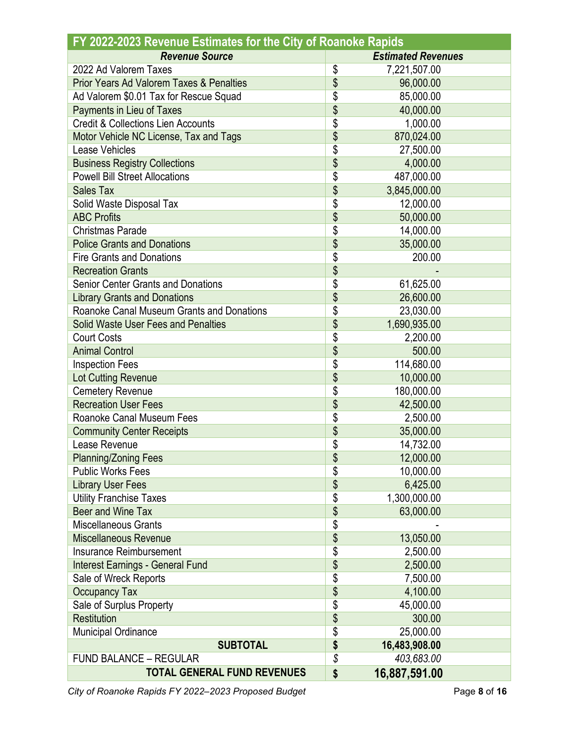| FY 2022-2023 Revenue Estimates for the City of Roanoke Rapids |    |                           |  |  |  |  |  |
|---------------------------------------------------------------|----|---------------------------|--|--|--|--|--|
| <b>Revenue Source</b>                                         |    | <b>Estimated Revenues</b> |  |  |  |  |  |
| 2022 Ad Valorem Taxes                                         | \$ | 7,221,507.00              |  |  |  |  |  |
| <b>Prior Years Ad Valorem Taxes &amp; Penalties</b>           | \$ | 96,000.00                 |  |  |  |  |  |
| Ad Valorem \$0.01 Tax for Rescue Squad                        | \$ | 85,000.00                 |  |  |  |  |  |
| Payments in Lieu of Taxes                                     | \$ | 40,000.00                 |  |  |  |  |  |
| <b>Credit &amp; Collections Lien Accounts</b>                 | \$ | 1,000.00                  |  |  |  |  |  |
| Motor Vehicle NC License, Tax and Tags                        | \$ | 870,024.00                |  |  |  |  |  |
| Lease Vehicles                                                | \$ | 27,500.00                 |  |  |  |  |  |
| <b>Business Registry Collections</b>                          | \$ | 4,000.00                  |  |  |  |  |  |
| <b>Powell Bill Street Allocations</b>                         | \$ | 487,000.00                |  |  |  |  |  |
| <b>Sales Tax</b>                                              | \$ | 3,845,000.00              |  |  |  |  |  |
| Solid Waste Disposal Tax                                      | \$ | 12,000.00                 |  |  |  |  |  |
| <b>ABC Profits</b>                                            | \$ | 50,000.00                 |  |  |  |  |  |
| <b>Christmas Parade</b>                                       | \$ | 14,000.00                 |  |  |  |  |  |
| <b>Police Grants and Donations</b>                            | \$ | 35,000.00                 |  |  |  |  |  |
| <b>Fire Grants and Donations</b>                              | \$ | 200.00                    |  |  |  |  |  |
| <b>Recreation Grants</b>                                      | \$ |                           |  |  |  |  |  |
| <b>Senior Center Grants and Donations</b>                     | \$ | 61,625.00                 |  |  |  |  |  |
| <b>Library Grants and Donations</b>                           | \$ | 26,600.00                 |  |  |  |  |  |
| Roanoke Canal Museum Grants and Donations                     | \$ | 23,030.00                 |  |  |  |  |  |
| Solid Waste User Fees and Penalties                           | \$ | 1,690,935.00              |  |  |  |  |  |
| <b>Court Costs</b>                                            | \$ | 2,200.00                  |  |  |  |  |  |
| <b>Animal Control</b>                                         | \$ | 500.00                    |  |  |  |  |  |
| <b>Inspection Fees</b>                                        | \$ | 114,680.00                |  |  |  |  |  |
| Lot Cutting Revenue                                           | \$ | 10,000.00                 |  |  |  |  |  |
| <b>Cemetery Revenue</b>                                       | \$ | 180,000.00                |  |  |  |  |  |
| <b>Recreation User Fees</b>                                   | \$ | 42,500.00                 |  |  |  |  |  |
| Roanoke Canal Museum Fees                                     | \$ | 2,500.00                  |  |  |  |  |  |
| <b>Community Center Receipts</b>                              | \$ | 35,000.00                 |  |  |  |  |  |
| Lease Revenue                                                 | \$ | 14,732.00                 |  |  |  |  |  |
| <b>Planning/Zoning Fees</b>                                   | \$ | 12,000.00                 |  |  |  |  |  |
| <b>Public Works Fees</b>                                      | \$ | 10,000.00                 |  |  |  |  |  |
| <b>Library User Fees</b>                                      | \$ | 6,425.00                  |  |  |  |  |  |
| <b>Utility Franchise Taxes</b>                                | \$ | 1,300,000.00              |  |  |  |  |  |
| Beer and Wine Tax                                             | \$ | 63,000.00                 |  |  |  |  |  |
| <b>Miscellaneous Grants</b>                                   | \$ |                           |  |  |  |  |  |
| <b>Miscellaneous Revenue</b>                                  | \$ | 13,050.00                 |  |  |  |  |  |
| Insurance Reimbursement                                       | \$ | 2,500.00                  |  |  |  |  |  |
| <b>Interest Earnings - General Fund</b>                       | \$ | 2,500.00                  |  |  |  |  |  |
| Sale of Wreck Reports                                         | \$ | 7,500.00                  |  |  |  |  |  |
| <b>Occupancy Tax</b>                                          | \$ | 4,100.00                  |  |  |  |  |  |
| Sale of Surplus Property                                      | \$ | 45,000.00                 |  |  |  |  |  |
| <b>Restitution</b>                                            | \$ | 300.00                    |  |  |  |  |  |
| Municipal Ordinance                                           | \$ | 25,000.00                 |  |  |  |  |  |
| <b>SUBTOTAL</b>                                               | \$ | 16,483,908.00             |  |  |  |  |  |
| <b>FUND BALANCE - REGULAR</b>                                 | \$ | 403,683.00                |  |  |  |  |  |
| <b>TOTAL GENERAL FUND REVENUES</b>                            | \$ | 16,887,591.00             |  |  |  |  |  |
|                                                               |    |                           |  |  |  |  |  |

*City of Roanoke Rapids FY 2022–2023 Proposed Budget* Page **8** of **16** Page **8** of **16**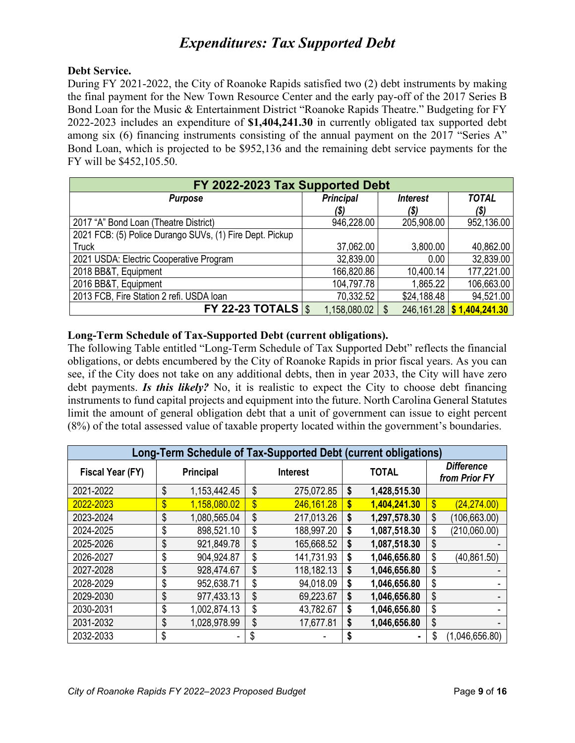# *Expenditures: Tax Supported Debt*

#### **Debt Service.**

During FY 2021-2022, the City of Roanoke Rapids satisfied two (2) debt instruments by making the final payment for the New Town Resource Center and the early pay-off of the 2017 Series B Bond Loan for the Music & Entertainment District "Roanoke Rapids Theatre." Budgeting for FY 2022-2023 includes an expenditure of **\$1,404,241.30** in currently obligated tax supported debt among six (6) financing instruments consisting of the annual payment on the 2017 "Series A" Bond Loan, which is projected to be \$952,136 and the remaining debt service payments for the FY will be \$452,105.50.

| FY 2022-2023 Tax Supported Debt                          |                  |                        |              |  |  |  |  |  |  |
|----------------------------------------------------------|------------------|------------------------|--------------|--|--|--|--|--|--|
| <b>Purpose</b>                                           | <b>Principal</b> | <i><b>Interest</b></i> | <b>TOTAL</b> |  |  |  |  |  |  |
|                                                          | (\$)             | (\$)                   | (\$)         |  |  |  |  |  |  |
| 2017 "A" Bond Loan (Theatre District)                    | 946,228.00       | 205,908.00             | 952,136.00   |  |  |  |  |  |  |
| 2021 FCB: (5) Police Durango SUVs, (1) Fire Dept. Pickup |                  |                        |              |  |  |  |  |  |  |
| <b>Truck</b>                                             | 37,062.00        | 3,800.00               | 40,862.00    |  |  |  |  |  |  |
| 2021 USDA: Electric Cooperative Program                  | 32,839.00        | 0.00                   | 32,839.00    |  |  |  |  |  |  |
| 2018 BB&T, Equipment                                     | 166,820.86       | 10,400.14              | 177,221.00   |  |  |  |  |  |  |
| 2016 BB&T, Equipment                                     | 104,797.78       | 1,865.22               | 106,663.00   |  |  |  |  |  |  |
| 2013 FCB, Fire Station 2 refi. USDA loan                 | 70,332.52        | \$24,188.48            | 94,521.00    |  |  |  |  |  |  |
| <b>FY 22-23 TOTALS</b>                                   | 1,158,080.02     | $246,161.28$   \$      | 1,404,241.30 |  |  |  |  |  |  |

#### **Long-Term Schedule of Tax-Supported Debt (current obligations).**

The following Table entitled "Long-Term Schedule of Tax Supported Debt" reflects the financial obligations, or debts encumbered by the City of Roanoke Rapids in prior fiscal years. As you can see, if the City does not take on any additional debts, then in year 2033, the City will have zero debt payments. *Is this likely?* No, it is realistic to expect the City to choose debt financing instruments to fund capital projects and equipment into the future. North Carolina General Statutes limit the amount of general obligation debt that a unit of government can issue to eight percent (8%) of the total assessed value of taxable property located within the government's boundaries.

| Long-Term Schedule of Tax-Supported Debt (current obligations) |    |                  |               |                 |              |              |                                    |                |
|----------------------------------------------------------------|----|------------------|---------------|-----------------|--------------|--------------|------------------------------------|----------------|
| Fiscal Year (FY)                                               |    | <b>Principal</b> |               | <b>Interest</b> | <b>TOTAL</b> |              | <b>Difference</b><br>from Prior FY |                |
| 2021-2022                                                      | \$ | 1,153,442.45     | \$            | 275,072.85      | \$           | 1,428,515.30 |                                    |                |
| 2022-2023                                                      | \$ | 1,158,080.02     | $\mathbf{\$}$ | 246,161.28      | \$           | 1,404,241.30 | \$                                 | (24, 274.00)   |
| 2023-2024                                                      | \$ | 1,080,565.04     | \$            | 217,013.26      | \$           | 1,297,578.30 | \$                                 | (106, 663.00)  |
| 2024-2025                                                      | \$ | 898,521.10       | \$            | 188,997.20      | \$           | 1,087,518.30 | \$                                 | (210,060.00)   |
| 2025-2026                                                      | \$ | 921,849.78       | \$            | 165,668.52      | \$           | 1,087,518.30 | \$                                 |                |
| 2026-2027                                                      | \$ | 904,924.87       | \$            | 141,731.93      | \$           | 1,046,656.80 | \$                                 | (40.861.50)    |
| 2027-2028                                                      | \$ | 928,474.67       | \$            | 118,182.13      | \$           | 1,046,656.80 | \$                                 |                |
| 2028-2029                                                      | \$ | 952,638.71       | \$            | 94,018.09       | \$           | 1,046,656.80 | \$                                 |                |
| 2029-2030                                                      | \$ | 977,433.13       | \$            | 69,223.67       | \$           | 1,046,656.80 | \$                                 |                |
| 2030-2031                                                      | \$ | 1,002,874.13     | \$            | 43,782.67       | \$           | 1,046,656.80 | \$                                 |                |
| 2031-2032                                                      | \$ | 1,028,978.99     | \$            | 17,677.81       | \$           | 1,046,656.80 | \$                                 |                |
| 2032-2033                                                      | \$ |                  |               |                 |              |              | \$                                 | (1,046,656.80) |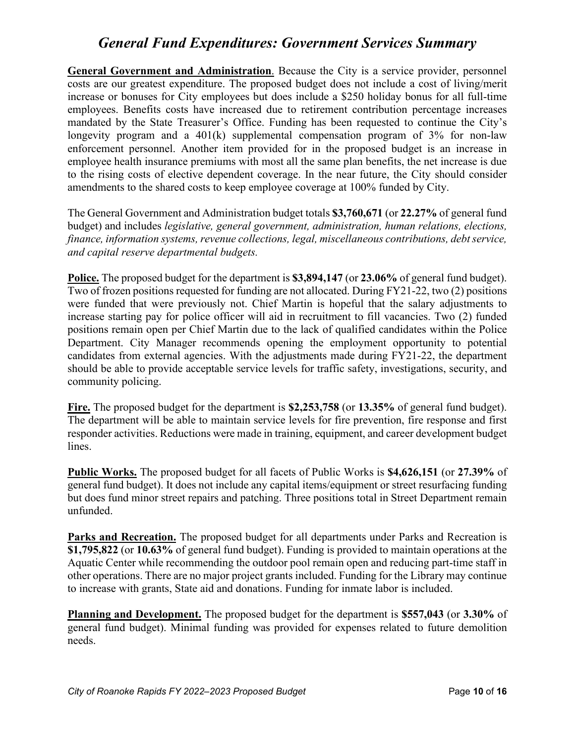# *General Fund Expenditures: Government Services Summary*

**General Government and Administration**. Because the City is a service provider, personnel costs are our greatest expenditure. The proposed budget does not include a cost of living/merit increase or bonuses for City employees but does include a \$250 holiday bonus for all full-time employees. Benefits costs have increased due to retirement contribution percentage increases mandated by the State Treasurer's Office. Funding has been requested to continue the City's longevity program and a  $401(k)$  supplemental compensation program of  $3\%$  for non-law enforcement personnel. Another item provided for in the proposed budget is an increase in employee health insurance premiums with most all the same plan benefits, the net increase is due to the rising costs of elective dependent coverage. In the near future, the City should consider amendments to the shared costs to keep employee coverage at 100% funded by City.

The General Government and Administration budget totals **\$3,760,671** (or **22.27%** of general fund budget) and includes *legislative, general government, administration, human relations, elections, finance, information systems, revenue collections, legal, miscellaneous contributions, debt service, and capital reserve departmental budgets.* 

**Police.** The proposed budget for the department is **\$3,894,147** (or **23.06%** of general fund budget). Two of frozen positions requested for funding are not allocated. During FY21-22, two (2) positions were funded that were previously not. Chief Martin is hopeful that the salary adjustments to increase starting pay for police officer will aid in recruitment to fill vacancies. Two (2) funded positions remain open per Chief Martin due to the lack of qualified candidates within the Police Department. City Manager recommends opening the employment opportunity to potential candidates from external agencies. With the adjustments made during FY21-22, the department should be able to provide acceptable service levels for traffic safety, investigations, security, and community policing.

**Fire.** The proposed budget for the department is **\$2,253,758** (or **13.35%** of general fund budget). The department will be able to maintain service levels for fire prevention, fire response and first responder activities. Reductions were made in training, equipment, and career development budget lines.

**Public Works.** The proposed budget for all facets of Public Works is **\$4,626,151** (or **27.39%** of general fund budget). It does not include any capital items/equipment or street resurfacing funding but does fund minor street repairs and patching. Three positions total in Street Department remain unfunded.

**Parks and Recreation.** The proposed budget for all departments under Parks and Recreation is **\$1,795,822** (or **10.63%** of general fund budget). Funding is provided to maintain operations at the Aquatic Center while recommending the outdoor pool remain open and reducing part-time staff in other operations. There are no major project grants included. Funding for the Library may continue to increase with grants, State aid and donations. Funding for inmate labor is included.

**Planning and Development.** The proposed budget for the department is **\$557,043** (or **3.30%** of general fund budget). Minimal funding was provided for expenses related to future demolition needs.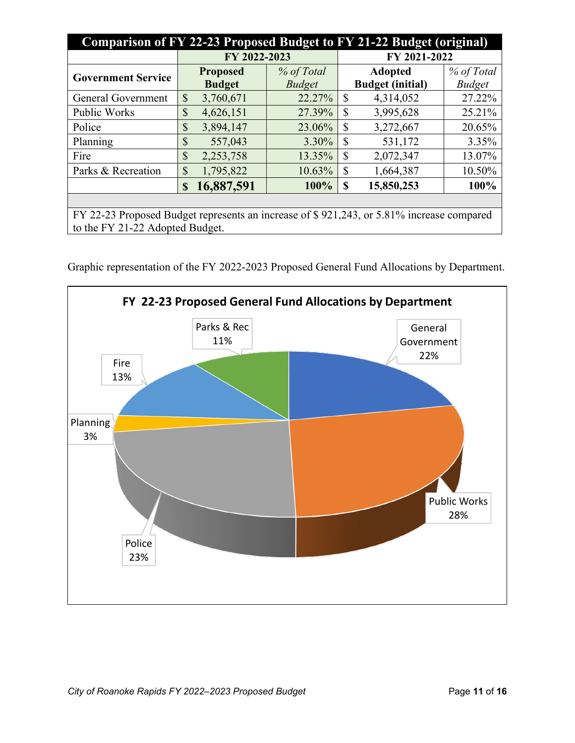| Comparison of FY 22-23 Proposed Budget to FY 21-22 Budget (original)                     |              |                                  |                             |              |                                           |                             |  |
|------------------------------------------------------------------------------------------|--------------|----------------------------------|-----------------------------|--------------|-------------------------------------------|-----------------------------|--|
|                                                                                          | FY 2022-2023 |                                  |                             |              | FY 2021-2022                              |                             |  |
| <b>Government Service</b>                                                                |              | <b>Proposed</b><br><b>Budget</b> | % of Total<br><b>Budget</b> |              | <b>Adopted</b><br><b>Budget (initial)</b> | % of Total<br><b>Budget</b> |  |
| <b>General Government</b>                                                                | \$           | 3,760,671                        | 22.27%                      | $\mathbb{S}$ | 4,314,052                                 | 27.22%                      |  |
| Public Works                                                                             | \$           | 4,626,151                        | 27.39%                      | \$           | 3,995,628                                 | 25.21%                      |  |
| Police                                                                                   | \$           | 3,894,147                        | 23.06%                      | \$           | 3,272,667                                 | 20.65%                      |  |
| Planning                                                                                 | \$           | 557,043                          | 3.30%                       | \$           | 531,172                                   | 3.35%                       |  |
| Fire                                                                                     | \$           | 2,253,758                        | 13.35%                      | \$           | 2,072,347                                 | 13.07%                      |  |
| Parks & Recreation                                                                       | \$           | 1,795,822                        | 10.63%                      | \$           | 1,664,387                                 | 10.50%                      |  |
|                                                                                          | S            | 16,887,591                       | 100%                        | S            | 15,850,253                                | 100%                        |  |
|                                                                                          |              |                                  |                             |              |                                           |                             |  |
| FY 22-23 Proposed Budget represents an increase of \$921,243, or 5.81% increase compared |              |                                  |                             |              |                                           |                             |  |
| to the FY 21-22 Adopted Budget.                                                          |              |                                  |                             |              |                                           |                             |  |

Graphic representation of the FY 2022-2023 Proposed General Fund Allocations by Department.

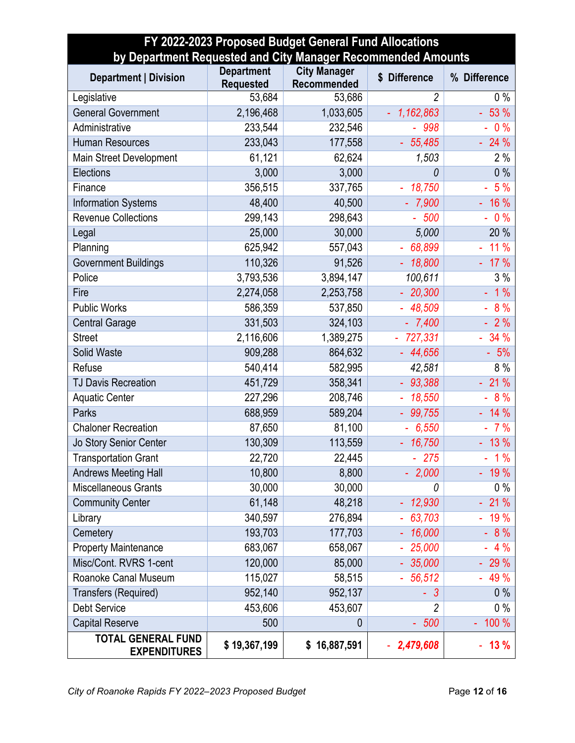| FY 2022-2023 Proposed Budget General Fund Allocations<br>by Department Requested and City Manager Recommended Amounts |                                       |                                    |                          |              |  |  |  |  |
|-----------------------------------------------------------------------------------------------------------------------|---------------------------------------|------------------------------------|--------------------------|--------------|--|--|--|--|
| <b>Department   Division</b>                                                                                          | <b>Department</b><br><b>Requested</b> | <b>City Manager</b><br>Recommended | \$ Difference            | % Difference |  |  |  |  |
| Legislative                                                                                                           | 53,684                                | 53,686                             | 2                        | $0\%$        |  |  |  |  |
| <b>General Government</b>                                                                                             | 2,196,468                             | 1,033,605                          | 1,162,863<br>÷,          | $-53%$       |  |  |  |  |
| Administrative                                                                                                        | 233,544                               | 232,546                            | $-998$                   | 0%           |  |  |  |  |
| <b>Human Resources</b>                                                                                                | 233,043                               | 177,558                            | 55,485                   | $-24%$       |  |  |  |  |
| Main Street Development                                                                                               | 61,121                                | 62,624                             | 1,503                    | 2%           |  |  |  |  |
| Elections                                                                                                             | 3,000                                 | 3,000                              | 0                        | 0%           |  |  |  |  |
| Finance                                                                                                               | 356,515                               | 337,765                            | 18,750<br>$\blacksquare$ | $-5%$        |  |  |  |  |
| <b>Information Systems</b>                                                                                            | 48,400                                | 40,500                             | $-7,900$                 | $-16%$       |  |  |  |  |
| <b>Revenue Collections</b>                                                                                            | 299,143                               | 298,643                            | $-500$                   | 0%           |  |  |  |  |
| Legal                                                                                                                 | 25,000                                | 30,000                             | 5,000                    | 20 %         |  |  |  |  |
| Planning                                                                                                              | 625,942                               | 557,043                            | $-68,899$                | $-11%$       |  |  |  |  |
| <b>Government Buildings</b>                                                                                           | 110,326                               | 91,526                             | 18,800                   | $-17%$       |  |  |  |  |
| Police                                                                                                                | 3,793,536                             | 3,894,147                          | 100,611                  | 3%           |  |  |  |  |
| Fire                                                                                                                  | 2,274,058                             | 2,253,758                          | 20,300                   | 1%           |  |  |  |  |
| <b>Public Works</b>                                                                                                   | 586,359                               | 537,850                            | 48,509                   | 8 %          |  |  |  |  |
| <b>Central Garage</b>                                                                                                 | 331,503                               | 324,103                            | $-7,400$                 | $-2%$        |  |  |  |  |
| <b>Street</b>                                                                                                         | 2,116,606                             | 1,389,275                          | $-727,331$               | $-34%$       |  |  |  |  |
| Solid Waste                                                                                                           | 909,288                               | 864,632                            | 44,656                   | $-5%$        |  |  |  |  |
| Refuse                                                                                                                | 540,414                               | 582,995                            | 42,581                   | 8%           |  |  |  |  |
| <b>TJ Davis Recreation</b>                                                                                            | 451,729                               | 358,341                            | 93,388                   | $-21%$       |  |  |  |  |
| <b>Aquatic Center</b>                                                                                                 | 227,296                               | 208,746                            | 18,550                   | $-8%$        |  |  |  |  |
| Parks                                                                                                                 | 688,959                               | 589,204                            | 99,755                   | $-14%$       |  |  |  |  |
| <b>Chaloner Recreation</b>                                                                                            | 87,650                                | 81,100                             | $-6,550$                 | $-7%$        |  |  |  |  |
| Jo Story Senior Center                                                                                                | 130,309                               | 113,559                            | 16,750                   | 13 %         |  |  |  |  |
| <b>Transportation Grant</b>                                                                                           | 22,720                                | 22,445                             | $-275$                   | $-1%$        |  |  |  |  |
| <b>Andrews Meeting Hall</b>                                                                                           | 10,800                                | 8,800                              | 2,000                    | 19 %         |  |  |  |  |
| Miscellaneous Grants                                                                                                  | 30,000                                | 30,000                             | 0                        | $0\%$        |  |  |  |  |
| <b>Community Center</b>                                                                                               | 61,148                                | 48,218                             | 12,930                   | 21 %         |  |  |  |  |
| Library                                                                                                               | 340,597                               | 276,894                            | 63,703                   | 19 %         |  |  |  |  |
| Cemetery                                                                                                              | 193,703                               | 177,703                            | 16,000                   | 8 %          |  |  |  |  |
| <b>Property Maintenance</b>                                                                                           | 683,067                               | 658,067                            | 25,000                   | 4%           |  |  |  |  |
| Misc/Cont. RVRS 1-cent                                                                                                | 120,000                               | 85,000                             | 35,000                   | 29 %         |  |  |  |  |
| Roanoke Canal Museum                                                                                                  | 115,027                               | 58,515                             | 56,512                   | $-49%$       |  |  |  |  |
| Transfers (Required)                                                                                                  | 952,140                               | 952,137                            | $\mathcal{S}$<br>L,      | 0%           |  |  |  |  |
| <b>Debt Service</b>                                                                                                   | 453,606                               | 453,607                            | $\overline{c}$           | $0\%$        |  |  |  |  |
| <b>Capital Reserve</b>                                                                                                | 500                                   | 0                                  | 500<br>÷.                | 100 %        |  |  |  |  |
| <b>TOTAL GENERAL FUND</b><br><b>EXPENDITURES</b>                                                                      | \$19,367,199                          | \$16,887,591                       | 2,479,608                | 13 %         |  |  |  |  |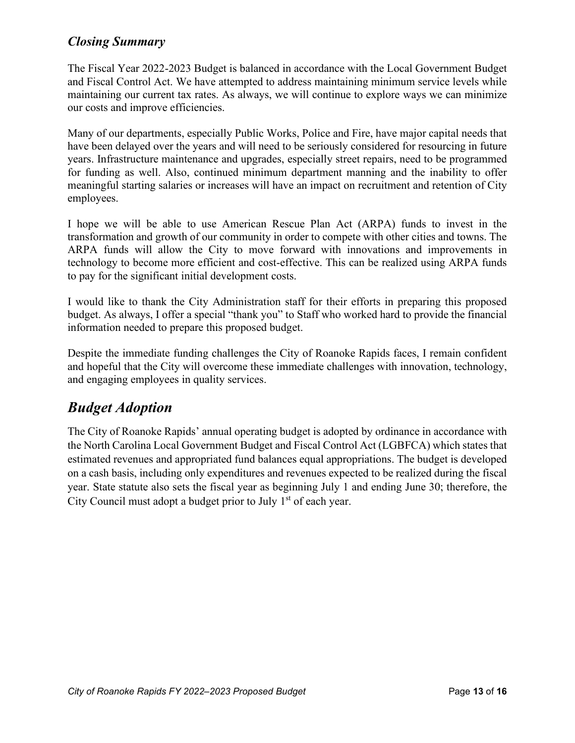### *Closing Summary*

The Fiscal Year 2022-2023 Budget is balanced in accordance with the Local Government Budget and Fiscal Control Act. We have attempted to address maintaining minimum service levels while maintaining our current tax rates. As always, we will continue to explore ways we can minimize our costs and improve efficiencies.

Many of our departments, especially Public Works, Police and Fire, have major capital needs that have been delayed over the years and will need to be seriously considered for resourcing in future years. Infrastructure maintenance and upgrades, especially street repairs, need to be programmed for funding as well. Also, continued minimum department manning and the inability to offer meaningful starting salaries or increases will have an impact on recruitment and retention of City employees.

I hope we will be able to use American Rescue Plan Act (ARPA) funds to invest in the transformation and growth of our community in order to compete with other cities and towns. The ARPA funds will allow the City to move forward with innovations and improvements in technology to become more efficient and cost-effective. This can be realized using ARPA funds to pay for the significant initial development costs.

I would like to thank the City Administration staff for their efforts in preparing this proposed budget. As always, I offer a special "thank you" to Staff who worked hard to provide the financial information needed to prepare this proposed budget.

Despite the immediate funding challenges the City of Roanoke Rapids faces, I remain confident and hopeful that the City will overcome these immediate challenges with innovation, technology, and engaging employees in quality services.

# *Budget Adoption*

The City of Roanoke Rapids' annual operating budget is adopted by ordinance in accordance with the North Carolina Local Government Budget and Fiscal Control Act (LGBFCA) which states that estimated revenues and appropriated fund balances equal appropriations. The budget is developed on a cash basis, including only expenditures and revenues expected to be realized during the fiscal year. State statute also sets the fiscal year as beginning July 1 and ending June 30; therefore, the City Council must adopt a budget prior to July  $1<sup>st</sup>$  of each year.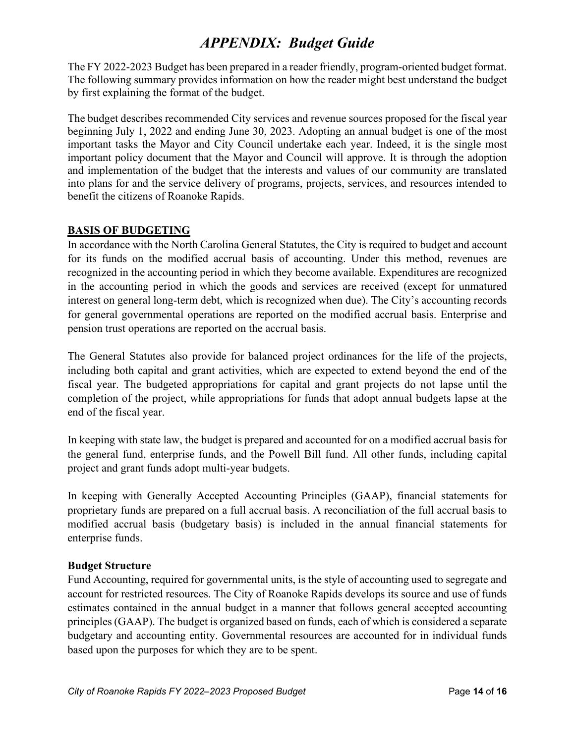# *APPENDIX: Budget Guide*

The FY 2022-2023 Budget has been prepared in a reader friendly, program-oriented budget format. The following summary provides information on how the reader might best understand the budget by first explaining the format of the budget.

The budget describes recommended City services and revenue sources proposed for the fiscal year beginning July 1, 2022 and ending June 30, 2023. Adopting an annual budget is one of the most important tasks the Mayor and City Council undertake each year. Indeed, it is the single most important policy document that the Mayor and Council will approve. It is through the adoption and implementation of the budget that the interests and values of our community are translated into plans for and the service delivery of programs, projects, services, and resources intended to benefit the citizens of Roanoke Rapids.

#### **BASIS OF BUDGETING**

In accordance with the North Carolina General Statutes, the City is required to budget and account for its funds on the modified accrual basis of accounting. Under this method, revenues are recognized in the accounting period in which they become available. Expenditures are recognized in the accounting period in which the goods and services are received (except for unmatured interest on general long-term debt, which is recognized when due). The City's accounting records for general governmental operations are reported on the modified accrual basis. Enterprise and pension trust operations are reported on the accrual basis.

The General Statutes also provide for balanced project ordinances for the life of the projects, including both capital and grant activities, which are expected to extend beyond the end of the fiscal year. The budgeted appropriations for capital and grant projects do not lapse until the completion of the project, while appropriations for funds that adopt annual budgets lapse at the end of the fiscal year.

In keeping with state law, the budget is prepared and accounted for on a modified accrual basis for the general fund, enterprise funds, and the Powell Bill fund. All other funds, including capital project and grant funds adopt multi-year budgets.

In keeping with Generally Accepted Accounting Principles (GAAP), financial statements for proprietary funds are prepared on a full accrual basis. A reconciliation of the full accrual basis to modified accrual basis (budgetary basis) is included in the annual financial statements for enterprise funds.

#### **Budget Structure**

Fund Accounting, required for governmental units, is the style of accounting used to segregate and account for restricted resources. The City of Roanoke Rapids develops its source and use of funds estimates contained in the annual budget in a manner that follows general accepted accounting principles (GAAP). The budget is organized based on funds, each of which is considered a separate budgetary and accounting entity. Governmental resources are accounted for in individual funds based upon the purposes for which they are to be spent.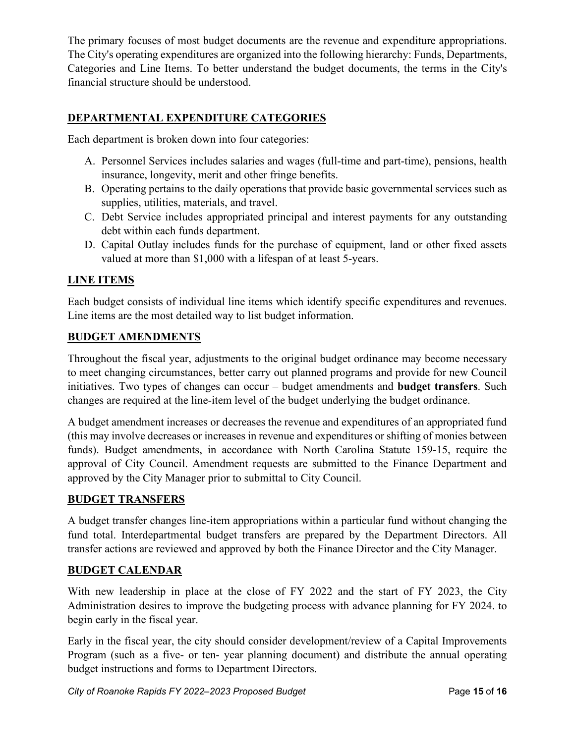The primary focuses of most budget documents are the revenue and expenditure appropriations. The City's operating expenditures are organized into the following hierarchy: Funds, Departments, Categories and Line Items. To better understand the budget documents, the terms in the City's financial structure should be understood.

#### **DEPARTMENTAL EXPENDITURE CATEGORIES**

Each department is broken down into four categories:

- A. Personnel Services includes salaries and wages (full-time and part-time), pensions, health insurance, longevity, merit and other fringe benefits.
- B. Operating pertains to the daily operations that provide basic governmental services such as supplies, utilities, materials, and travel.
- C. Debt Service includes appropriated principal and interest payments for any outstanding debt within each funds department.
- D. Capital Outlay includes funds for the purchase of equipment, land or other fixed assets valued at more than \$1,000 with a lifespan of at least 5-years.

#### **LINE ITEMS**

Each budget consists of individual line items which identify specific expenditures and revenues. Line items are the most detailed way to list budget information.

#### **BUDGET AMENDMENTS**

Throughout the fiscal year, adjustments to the original budget ordinance may become necessary to meet changing circumstances, better carry out planned programs and provide for new Council initiatives. Two types of changes can occur – budget amendments and **budget transfers**. Such changes are required at the line-item level of the budget underlying the budget ordinance.

A budget amendment increases or decreases the revenue and expenditures of an appropriated fund (this may involve decreases or increases in revenue and expenditures or shifting of monies between funds). Budget amendments, in accordance with North Carolina Statute 159-15, require the approval of City Council. Amendment requests are submitted to the Finance Department and approved by the City Manager prior to submittal to City Council.

#### **BUDGET TRANSFERS**

A budget transfer changes line-item appropriations within a particular fund without changing the fund total. Interdepartmental budget transfers are prepared by the Department Directors. All transfer actions are reviewed and approved by both the Finance Director and the City Manager.

#### **BUDGET CALENDAR**

With new leadership in place at the close of FY 2022 and the start of FY 2023, the City Administration desires to improve the budgeting process with advance planning for FY 2024. to begin early in the fiscal year.

Early in the fiscal year, the city should consider development/review of a Capital Improvements Program (such as a five- or ten- year planning document) and distribute the annual operating budget instructions and forms to Department Directors.

*City of Roanoke Rapids FY 2022–2023 Proposed Budget* Page 15 of 16